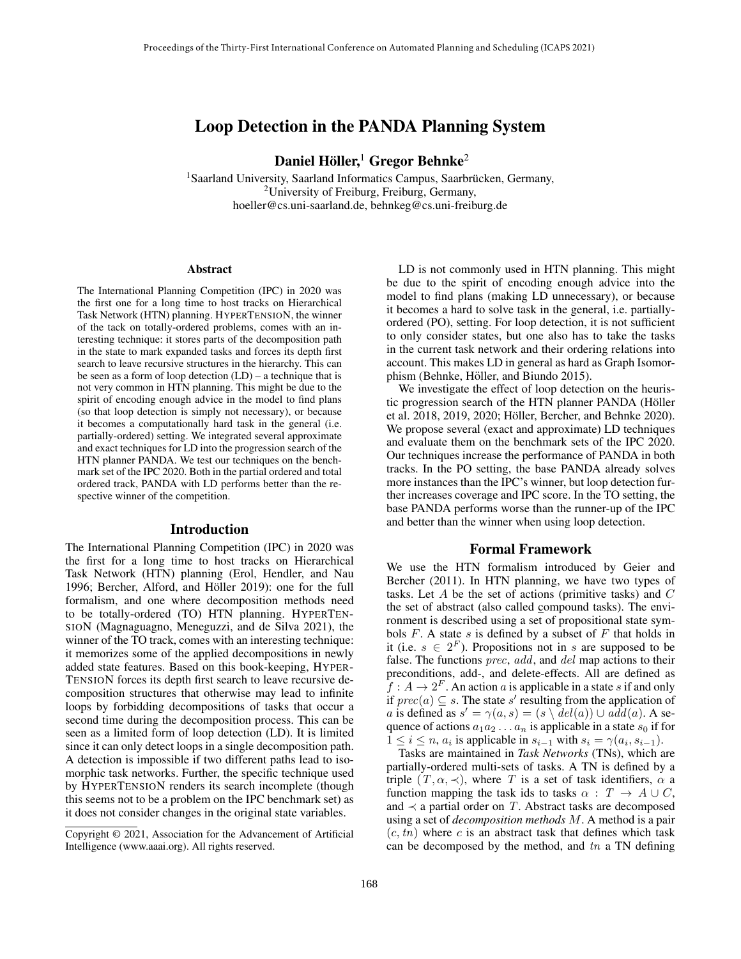# Loop Detection in the PANDA Planning System

Daniel Höller, $^1$  Gregor Behnke $^2$ 

<sup>1</sup>Saarland University, Saarland Informatics Campus, Saarbrücken, Germany, <sup>2</sup>University of Freiburg, Freiburg, Germany, hoeller@cs.uni-saarland.de, behnkeg@cs.uni-freiburg.de

#### Abstract

The International Planning Competition (IPC) in 2020 was the first one for a long time to host tracks on Hierarchical Task Network (HTN) planning. HYPERTENSION, the winner of the tack on totally-ordered problems, comes with an interesting technique: it stores parts of the decomposition path in the state to mark expanded tasks and forces its depth first search to leave recursive structures in the hierarchy. This can be seen as a form of loop detection (LD) – a technique that is not very common in HTN planning. This might be due to the spirit of encoding enough advice in the model to find plans (so that loop detection is simply not necessary), or because it becomes a computationally hard task in the general (i.e. partially-ordered) setting. We integrated several approximate and exact techniques for LD into the progression search of the HTN planner PANDA. We test our techniques on the benchmark set of the IPC 2020. Both in the partial ordered and total ordered track, PANDA with LD performs better than the respective winner of the competition.

#### Introduction

The International Planning Competition (IPC) in 2020 was the first for a long time to host tracks on Hierarchical Task Network (HTN) planning (Erol, Hendler, and Nau 1996; Bercher, Alford, and Höller 2019): one for the full formalism, and one where decomposition methods need to be totally-ordered (TO) HTN planning. HYPERTEN-SION (Magnaguagno, Meneguzzi, and de Silva 2021), the winner of the TO track, comes with an interesting technique: it memorizes some of the applied decompositions in newly added state features. Based on this book-keeping, HYPER-TENSION forces its depth first search to leave recursive decomposition structures that otherwise may lead to infinite loops by forbidding decompositions of tasks that occur a second time during the decomposition process. This can be seen as a limited form of loop detection (LD). It is limited since it can only detect loops in a single decomposition path. A detection is impossible if two different paths lead to isomorphic task networks. Further, the specific technique used by HYPERTENSION renders its search incomplete (though this seems not to be a problem on the IPC benchmark set) as it does not consider changes in the original state variables.

LD is not commonly used in HTN planning. This might be due to the spirit of encoding enough advice into the model to find plans (making LD unnecessary), or because it becomes a hard to solve task in the general, i.e. partiallyordered (PO), setting. For loop detection, it is not sufficient to only consider states, but one also has to take the tasks in the current task network and their ordering relations into account. This makes LD in general as hard as Graph Isomorphism (Behnke, Höller, and Biundo 2015).

We investigate the effect of loop detection on the heuristic progression search of the HTN planner PANDA (Höller et al. 2018, 2019, 2020; Höller, Bercher, and Behnke 2020). We propose several (exact and approximate) LD techniques and evaluate them on the benchmark sets of the IPC 2020. Our techniques increase the performance of PANDA in both tracks. In the PO setting, the base PANDA already solves more instances than the IPC's winner, but loop detection further increases coverage and IPC score. In the TO setting, the base PANDA performs worse than the runner-up of the IPC and better than the winner when using loop detection.

#### Formal Framework

We use the HTN formalism introduced by Geier and Bercher (2011). In HTN planning, we have two types of tasks. Let  $A$  be the set of actions (primitive tasks) and  $C$ the set of abstract (also called compound tasks). The environment is described using a set of propositional state symbols  $F$ . A state  $s$  is defined by a subset of  $F$  that holds in it (i.e.  $s \in 2^F$ ). Propositions not in s are supposed to be false. The functions *prec*, add, and del map actions to their preconditions, add-, and delete-effects. All are defined as  $\hat{f}: A \to 2^F$ . An action a is applicable in a state s if and only if  $prec(a) \subseteq s$ . The state s' resulting from the application of a is defined as  $s' = \gamma(a, s) = (s \setminus \text{del}(a)) \cup \text{add}(a)$ . A sequence of actions  $a_1a_2...a_n$  is applicable in a state  $s_0$  if for  $1 \leq i \leq n$ ,  $a_i$  is applicable in  $s_{i-1}$  with  $s_i = \gamma(a_i, s_{i-1})$ .

Tasks are maintained in *Task Networks* (TNs), which are partially-ordered multi-sets of tasks. A TN is defined by a triple  $(T, \alpha, \prec)$ , where T is a set of task identifiers,  $\alpha$  a function mapping the task ids to tasks  $\alpha$  :  $T \rightarrow A \cup C$ , and  $\prec$  a partial order on T. Abstract tasks are decomposed using a set of *decomposition methods* M. A method is a pair  $(c, tn)$  where c is an abstract task that defines which task can be decomposed by the method, and  $tn$  a TN defining

Copyright © 2021, Association for the Advancement of Artificial Intelligence (www.aaai.org). All rights reserved.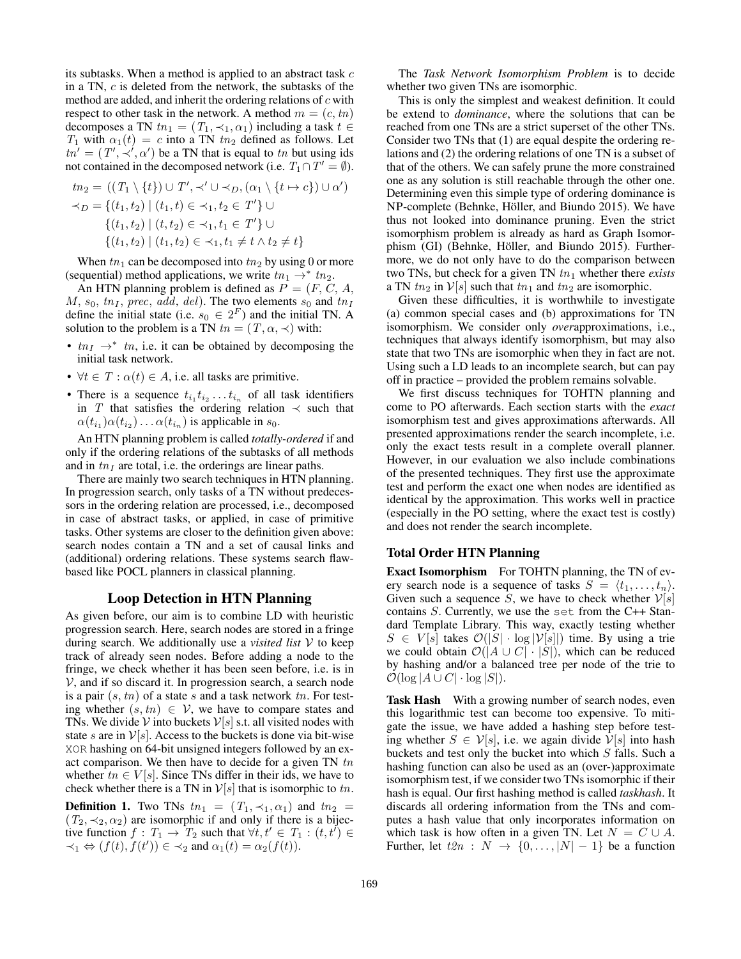its subtasks. When a method is applied to an abstract task c in a TN, c is deleted from the network, the subtasks of the method are added, and inherit the ordering relations of  $c$  with respect to other task in the network. A method  $m = (c, tn)$ decomposes a TN  $tn_1 = (T_1, \prec_1, \alpha_1)$  including a task  $t \in$  $T_1$  with  $\alpha_1(t) = c$  into a TN  $tn_2$  defined as follows. Let  $tn' = (T', \div', \alpha')$  be a TN that is equal to tn but using ids not contained in the decomposed network (i.e.  $T_1 \cap T' = \emptyset$ ).

$$
tn_2 = ((T_1 \setminus \{t\}) \cup T', \prec' \cup \prec_D, (\alpha_1 \setminus \{t \mapsto c\}) \cup \alpha')
$$
  

$$
\prec_D = \{(t_1, t_2) \mid (t_1, t) \in \prec_1, t_2 \in T'\} \cup
$$
  

$$
\{(t_1, t_2) \mid (t, t_2) \in \prec_1, t_1 \in T'\} \cup
$$
  

$$
\{(t_1, t_2) \mid (t_1, t_2) \in \prec_1, t_1 \neq t \land t_2 \neq t\}
$$

When  $tn_1$  can be decomposed into  $tn_2$  by using 0 or more (sequential) method applications, we write  $tn_1 \rightarrow * \, tn_2$ .

An HTN planning problem is defined as  $P = (F, C, A, \mathcal{A})$  $M$ ,  $s_0$ ,  $tn_I$ , prec, add, del). The two elements  $s_0$  and  $tn_I$ define the initial state (i.e.  $s_0 \in 2^F$ ) and the initial TN. A solution to the problem is a TN  $tn = (T, \alpha, \prec)$  with:

- $tn_I \rightarrow^* tn$ , i.e. it can be obtained by decomposing the initial task network.
- $\forall t \in T : \alpha(t) \in A$ , i.e. all tasks are primitive.
- There is a sequence  $t_{i_1} t_{i_2} \ldots t_{i_n}$  of all task identifiers in T that satisfies the ordering relation  $\prec$  such that  $\alpha(t_{i_1})\alpha(t_{i_2})\dots\alpha(t_{i_n})$  is applicable in  $s_0$ .

An HTN planning problem is called *totally-ordered* if and only if the ordering relations of the subtasks of all methods and in  $tn_I$  are total, i.e. the orderings are linear paths.

There are mainly two search techniques in HTN planning. In progression search, only tasks of a TN without predecessors in the ordering relation are processed, i.e., decomposed in case of abstract tasks, or applied, in case of primitive tasks. Other systems are closer to the definition given above: search nodes contain a TN and a set of causal links and (additional) ordering relations. These systems search flawbased like POCL planners in classical planning.

## Loop Detection in HTN Planning

As given before, our aim is to combine LD with heuristic progression search. Here, search nodes are stored in a fringe during search. We additionally use a *visited list* V to keep track of already seen nodes. Before adding a node to the fringe, we check whether it has been seen before, i.e. is in  $V$ , and if so discard it. In progression search, a search node is a pair  $(s, tn)$  of a state s and a task network tn. For testing whether  $(s, tn) \in V$ , we have to compare states and TNs. We divide V into buckets  $V[s]$  s.t. all visited nodes with state s are in  $V[s]$ . Access to the buckets is done via bit-wise XOR hashing on 64-bit unsigned integers followed by an exact comparison. We then have to decide for a given TN  $tn$ whether  $tn \in V[s]$ . Since TNs differ in their ids, we have to check whether there is a TN in  $\mathcal{V}[s]$  that is isomorphic to tn.

**Definition 1.** Two TNs  $tn_1 = (T_1, \prec_1, \alpha_1)$  and  $tn_2 =$  $(T_2, \prec_2, \alpha_2)$  are isomorphic if and only if there is a bijective function  $f: T_1 \rightarrow T_2$  such that  $\forall t, t' \in T_1 : (t, t') \in$  $\prec_1 \Leftrightarrow (f(t), \dot{f}(t')) \in \prec_2$  and  $\alpha_1(t) = \alpha_2(f(t)).$ 

The *Task Network Isomorphism Problem* is to decide whether two given TNs are isomorphic.

This is only the simplest and weakest definition. It could be extend to *dominance*, where the solutions that can be reached from one TNs are a strict superset of the other TNs. Consider two TNs that (1) are equal despite the ordering relations and (2) the ordering relations of one TN is a subset of that of the others. We can safely prune the more constrained one as any solution is still reachable through the other one. Determining even this simple type of ordering dominance is NP-complete (Behnke, Höller, and Biundo 2015). We have thus not looked into dominance pruning. Even the strict isomorphism problem is already as hard as Graph Isomorphism (GI) (Behnke, Höller, and Biundo 2015). Furthermore, we do not only have to do the comparison between two TNs, but check for a given TN  $tn_1$  whether there *exists* a TN  $tn_2$  in  $V[s]$  such that  $tn_1$  and  $tn_2$  are isomorphic.

Given these difficulties, it is worthwhile to investigate (a) common special cases and (b) approximations for TN isomorphism. We consider only *over*approximations, i.e., techniques that always identify isomorphism, but may also state that two TNs are isomorphic when they in fact are not. Using such a LD leads to an incomplete search, but can pay off in practice – provided the problem remains solvable.

We first discuss techniques for TOHTN planning and come to PO afterwards. Each section starts with the *exact* isomorphism test and gives approximations afterwards. All presented approximations render the search incomplete, i.e. only the exact tests result in a complete overall planner. However, in our evaluation we also include combinations of the presented techniques. They first use the approximate test and perform the exact one when nodes are identified as identical by the approximation. This works well in practice (especially in the PO setting, where the exact test is costly) and does not render the search incomplete.

## Total Order HTN Planning

Exact Isomorphism For TOHTN planning, the TN of every search node is a sequence of tasks  $S = \langle t_1, \ldots, t_n \rangle$ . Given such a sequence S, we have to check whether  $\mathcal{V}[s]$ contains S. Currently, we use the set from the C++ Standard Template Library. This way, exactly testing whether  $S \in V[s]$  takes  $\mathcal{O}(|S| \cdot \log |\mathcal{V}[s]|)$  time. By using a trie we could obtain  $\mathcal{O}(|A \cup C| \cdot |S|)$ , which can be reduced by hashing and/or a balanced tree per node of the trie to  $\mathcal{O}(\log |A \cup C| \cdot \log |S|).$ 

Task Hash With a growing number of search nodes, even this logarithmic test can become too expensive. To mitigate the issue, we have added a hashing step before testing whether  $S \in \mathcal{V}[s]$ , i.e. we again divide  $\mathcal{V}[s]$  into hash buckets and test only the bucket into which  $S$  falls. Such a hashing function can also be used as an (over-)approximate isomorphism test, if we consider two TNs isomorphic if their hash is equal. Our first hashing method is called *taskhash*. It discards all ordering information from the TNs and computes a hash value that only incorporates information on which task is how often in a given TN. Let  $N = C \cup A$ . Further, let  $t2n : N \rightarrow \{0, \ldots, |N|-1\}$  be a function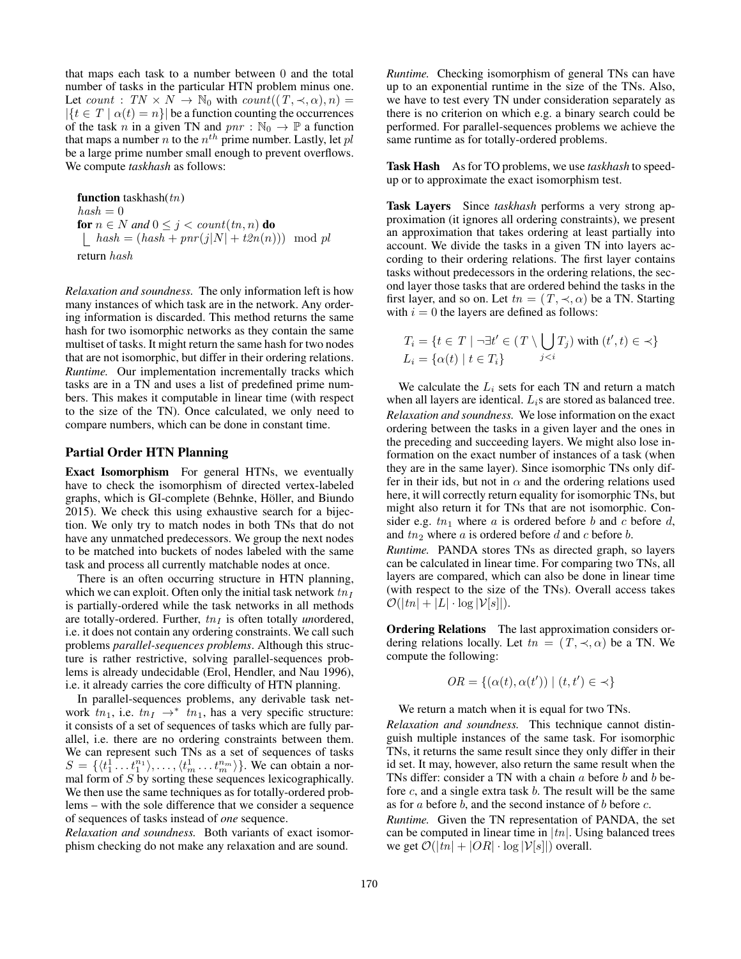that maps each task to a number between 0 and the total number of tasks in the particular HTN problem minus one. Let count : TN  $\times$  N  $\rightarrow$  N<sub>0</sub> with count  $((T, \prec, \alpha), n)$  =  $|\{t \in T \mid \alpha(t) = n\}|$  be a function counting the occurrences of the task n in a given TN and  $pnr : \mathbb{N}_0 \to \mathbb{P}$  a function that maps a number *n* to the  $n^{th}$  prime number. Lastly, let  $pl$ be a large prime number small enough to prevent overflows. We compute *taskhash* as follows:

function taskhash $(tn)$  $hash = 0$ for  $n \in N$  *and*  $0 \leq j < count(tn, n)$  do  $\hat{h} = (hash + pnr(j|N| + t2n(n))) \mod pl$ return hash

*Relaxation and soundness.* The only information left is how many instances of which task are in the network. Any ordering information is discarded. This method returns the same hash for two isomorphic networks as they contain the same multiset of tasks. It might return the same hash for two nodes that are not isomorphic, but differ in their ordering relations. *Runtime.* Our implementation incrementally tracks which tasks are in a TN and uses a list of predefined prime numbers. This makes it computable in linear time (with respect to the size of the TN). Once calculated, we only need to compare numbers, which can be done in constant time.

### Partial Order HTN Planning

Exact Isomorphism For general HTNs, we eventually have to check the isomorphism of directed vertex-labeled graphs, which is GI-complete (Behnke, Höller, and Biundo 2015). We check this using exhaustive search for a bijection. We only try to match nodes in both TNs that do not have any unmatched predecessors. We group the next nodes to be matched into buckets of nodes labeled with the same task and process all currently matchable nodes at once.

There is an often occurring structure in HTN planning, which we can exploit. Often only the initial task network  $tn_I$ is partially-ordered while the task networks in all methods are totally-ordered. Further,  $tn_I$  is often totally *unordered*, i.e. it does not contain any ordering constraints. We call such problems *parallel-sequences problems*. Although this structure is rather restrictive, solving parallel-sequences problems is already undecidable (Erol, Hendler, and Nau 1996), i.e. it already carries the core difficulty of HTN planning.

In parallel-sequences problems, any derivable task network  $tn_1$ , i.e.  $tn_1 \rightarrow^* \overline{tn_1}$ , has a very specific structure: it consists of a set of sequences of tasks which are fully parallel, i.e. there are no ordering constraints between them. We can represent such TNs as a set of sequences of tasks  $S = \{ \langle t_1^1 \dots t_1^{n_1} \rangle, \dots, \langle t_m^1 \dots t_m^{n_m} \rangle \}.$  We can obtain a normal form of S by sorting these sequences lexicographically. We then use the same techniques as for totally-ordered problems – with the sole difference that we consider a sequence of sequences of tasks instead of *one* sequence.

*Relaxation and soundness.* Both variants of exact isomorphism checking do not make any relaxation and are sound.

*Runtime.* Checking isomorphism of general TNs can have up to an exponential runtime in the size of the TNs. Also, we have to test every TN under consideration separately as there is no criterion on which e.g. a binary search could be performed. For parallel-sequences problems we achieve the same runtime as for totally-ordered problems.

Task Hash As for TO problems, we use *taskhash* to speedup or to approximate the exact isomorphism test.

Task Layers Since *taskhash* performs a very strong approximation (it ignores all ordering constraints), we present an approximation that takes ordering at least partially into account. We divide the tasks in a given TN into layers according to their ordering relations. The first layer contains tasks without predecessors in the ordering relations, the second layer those tasks that are ordered behind the tasks in the first layer, and so on. Let  $tn = (T, \prec, \alpha)$  be a TN. Starting with  $i = 0$  the layers are defined as follows:

$$
T_i = \{ t \in T \mid \neg \exists t' \in (T \setminus \bigcup_{j < i} T_j) \text{ with } (t', t) \in \prec \}
$$
\n
$$
L_i = \{ \alpha(t) \mid t \in T_i \}
$$

We calculate the  $L_i$  sets for each TN and return a match when all layers are identical.  $L_i$ s are stored as balanced tree. *Relaxation and soundness.* We lose information on the exact ordering between the tasks in a given layer and the ones in the preceding and succeeding layers. We might also lose information on the exact number of instances of a task (when they are in the same layer). Since isomorphic TNs only differ in their ids, but not in  $\alpha$  and the ordering relations used here, it will correctly return equality for isomorphic TNs, but might also return it for TNs that are not isomorphic. Consider e.g.  $tn_1$  where a is ordered before b and c before d, and  $tn_2$  where a is ordered before d and c before b.

*Runtime.* PANDA stores TNs as directed graph, so layers can be calculated in linear time. For comparing two TNs, all layers are compared, which can also be done in linear time (with respect to the size of the TNs). Overall access takes  $\mathcal{O}(|tn| + |L| \cdot \log |\mathcal{V}|s|).$ 

Ordering Relations The last approximation considers ordering relations locally. Let  $tn = (T, \prec, \alpha)$  be a TN. We compute the following:

$$
OR = \{ (\alpha(t), \alpha(t')) \mid (t, t') \in \prec \}
$$

We return a match when it is equal for two TNs.

*Relaxation and soundness.* This technique cannot distinguish multiple instances of the same task. For isomorphic TNs, it returns the same result since they only differ in their id set. It may, however, also return the same result when the TNs differ: consider a TN with a chain  $a$  before  $b$  and  $b$  before  $c$ , and a single extra task  $b$ . The result will be the same as for  $a$  before  $b$ , and the second instance of  $b$  before  $c$ .

*Runtime.* Given the TN representation of PANDA, the set can be computed in linear time in  $|tn|$ . Using balanced trees we get  $\mathcal{O}(|tn| + |OR| \cdot \log |\mathcal{V}[s]|)$  overall.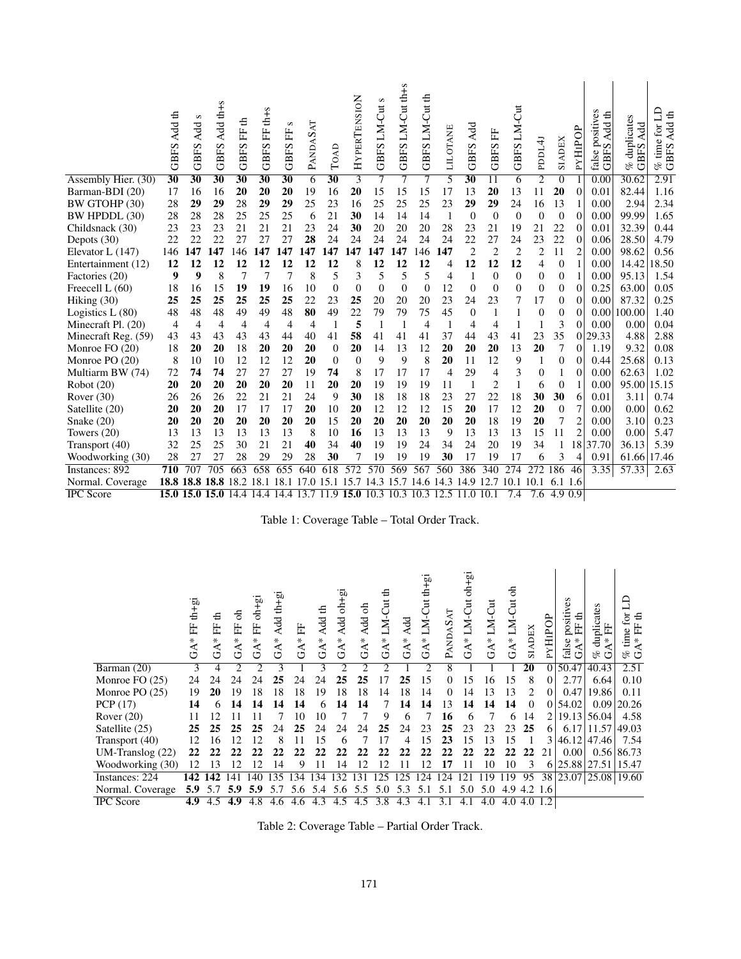|                     | Add th<br><b>GBFS</b> | s<br>Add<br><b>GBFS</b> | Add th+s<br><b>GBFS</b> | €<br><b>GBFSFF</b> | GBFS FF th+s    | S<br><b>GBFSFF</b> | PANDASAT | TOAD            | HYPERTENSION      | S<br><b>GBFS LM-Cut</b> | GBFS LM-Cut th+s | LM-Cut th<br>GBFS <sub>1</sub> | LILOTANE       | Add<br><b>GBFS</b> | <b>GBFSFF</b>    | GBFS LM-Cut    | PDDL4J           | SIADEX           | PYHIPOP        | positives<br>3 Add th<br><b>GBF</b><br>false | duplicates<br>Add<br>GBFS<br>of | Ê<br>€<br>Add<br>.<br>E<br>time<br>GBFS.<br>olo |
|---------------------|-----------------------|-------------------------|-------------------------|--------------------|-----------------|--------------------|----------|-----------------|-------------------|-------------------------|------------------|--------------------------------|----------------|--------------------|------------------|----------------|------------------|------------------|----------------|----------------------------------------------|---------------------------------|-------------------------------------------------|
| Assembly Hier. (30) | 30                    | $\overline{30}$         | 30                      | 30                 | $\overline{30}$ | $\overline{30}$    | 6        | $\overline{30}$ | $\overline{3}$    | 7                       | 7                | 7                              | 5              | 30                 | 11               | 6              | $\overline{2}$   | $\theta$         |                | 0.00                                         | 30.62                           | 2.91                                            |
| Barman-BDI (20)     | 17                    | 16                      | 16                      | 20                 | 20              | 20                 | 19       | 16              | 20                | 15                      | 15               | 15                             | 17             | 13                 | 20               | 13             | 11               | 20               | $\theta$       | 0.01                                         | 82.44                           | 1.16                                            |
| BW GTOHP (30)       | 28                    | 29                      | 29                      | 28                 | 29              | 29                 | 25       | 23              | 16                | 25                      | 25               | 25                             | 23             | 29                 | 29               | 24             | 16               | 13               | 1              | 0.00                                         | 2.94                            | 2.34                                            |
| BW HPDDL (30)       | 28                    | 28                      | 28                      | 25                 | 25              | 25                 | 6        | 21              | 30                | 14                      | 14               | 14                             | $\mathbf{1}$   | $\theta$           | $\overline{0}$   | $\Omega$       | $\Omega$         | $\boldsymbol{0}$ | $\overline{0}$ | 0.00                                         | 99.99                           | 1.65                                            |
| Childsnack (30)     | 23                    | 23                      | 23                      | 21                 | 21              | 21                 | 23       | 24              | 30                | 20                      | 20               | 20                             | 28             | 23                 | 21               | 19             | 21               | 22               | $\overline{0}$ | 0.01                                         | 32.39                           | 0.44                                            |
| Depots $(30)$       | 22                    | 22                      | 22                      | 27                 | 27              | 27                 | 28       | 24              | 24                | 24                      | 24               | 24                             | 24             | 22                 | 27               | 24             | 23               | 22               | $\theta$       | 0.06                                         | 28.50                           | 4.79                                            |
| Elevator L (147)    | 146                   | 47                      | 147                     | 146                | 147             | 147                | 47       | 147             | 147               | 147                     | 147              | 146                            | 147            | $\overline{c}$     | $\overline{2}$   | $\overline{2}$ | $\overline{2}$   | 11               | $\overline{2}$ | 0.00                                         | 98.62                           | 0.56                                            |
| Entertainment (12)  | 12                    | 12                      | 12                      | 12                 | 12              | 12                 | 12       | 12              | 8                 | 12                      | 12               | 12                             | 4              | 12                 | 12               | 12             | 4                | $\overline{0}$   | $\mathbf{1}$   | 0.00                                         | 14.42                           | 18.50                                           |
| Factories (20)      | 9                     | 9                       | 8                       | 7                  | 7               | 7                  | 8        | 5               | 3                 | 5                       | 5                | 5                              | $\overline{4}$ | 1                  | $\overline{0}$   | $\Omega$       | $\theta$         | $\theta$         | $\mathbf{1}$   | 0.00                                         | 95.13                           | 1.54                                            |
| Freecell L (60)     | 18                    | 16                      | 15                      | 19                 | 19              | 16                 | 10       | $\Omega$        | $\Omega$          | $\overline{0}$          | $\Omega$         | $\overline{0}$                 | 12             | $\Omega$           | $\overline{0}$   | $\Omega$       | $\overline{0}$   | $\theta$         | $\theta$       | 0.25                                         | 63.00                           | 0.05                                            |
| Hiking (30)         | 25                    | 25                      | 25                      | 25                 | 25              | 25                 | 22       | 23              | 25                | 20                      | 20               | 20                             | 23             | 24                 | 23               | 7              | 17               | $\theta$         | $\overline{0}$ | 0.00                                         | 87.32                           | 0.25                                            |
| Logistics $L(80)$   | 48                    | 48                      | 48                      | 49                 | 49              | 48                 | 80       | 49              | 22                | 79                      | 79               | 75                             | 45             | $\Omega$           | 1                | 1              | $\theta$         | $\theta$         | $\Omega$       | 0.00                                         | 100.00                          | 1.40                                            |
| Minecraft Pl. (20)  | 4                     | 4                       | $\overline{4}$          | $\overline{4}$     | $\overline{4}$  | 4                  | 4        | $\mathbf{1}$    | 5                 | $\mathbf{1}$            | 1                | 4                              | $\mathbf{1}$   | 4                  | $\overline{4}$   | 1              |                  | 3                | $\Omega$       | 0.00                                         | 0.00                            | 0.04                                            |
| Minecraft Reg. (59) | 43                    | 43                      | 43                      | 43                 | 43              | 44                 | 40       | 41              | 58                | 41                      | 41               | 41                             | 37             | 44                 | 43               | 41             | 23               | 35               | $\overline{0}$ | 29.33                                        | 4.88                            | 2.88                                            |
| Monroe FO (20)      | 18                    | 20                      | 20                      | 18                 | 20              | 20                 | 20       | $\Omega$        | 20                | 14                      | 13               | 12                             | 20             | 20                 | 20               | 13             | 20               | 7                | $\Omega$       | 1.19                                         | 9.32                            | 0.08                                            |
| Monroe PO (20)      | 8                     | 10                      | 10                      | 12                 | 12              | 12                 | 20       | $\Omega$        | $\Omega$          | 9                       | 9                | 8                              | 20             | 11                 | 12               | 9              | 1                | $\overline{0}$   | $\Omega$       | 0.44                                         | 25.68                           | 0.13                                            |
| Multiarm BW (74)    | 72                    | 74                      | 74                      | 27                 | 27              | 27                 | 19       | 74              | 8                 | 17                      | 17               | 17                             | 4              | 29                 | 4                | 3              | $\overline{0}$   | 1                | $\overline{0}$ | 0.00                                         | 62.63                           | 1.02                                            |
| Robot(20)           | 20                    | 20                      | 20                      | 20                 | 20              | 20                 | 11       | 20              | 20                | 19                      | 19               | 19                             | 11             | 1                  | 2                | 1              | 6                | $\theta$         | 1              | 0.00                                         | 95.00                           | 15.15                                           |
| Rover $(30)$        | 26                    | 26                      | 26                      | 22                 | 21              | 21                 | 24       | 9               | 30                | 18                      | 18               | 18                             | 23             | 27                 | 22               | 18             | 30               | 30               | 6              | 0.01                                         | 3.11                            | 0.74                                            |
| Satellite (20)      | 20                    | 20                      | 20                      | 17                 | 17              | 17                 | 20       | 10              | 20                | 12                      | 12               | 12                             | 15             | 20                 | 17               | 12             | 20               | $\theta$         | 7              | 0.00                                         | 0.00                            | 0.62                                            |
| Snake $(20)$        | 20                    | 20                      | 20                      | 20                 | 20              | 20                 | 20       | 15              | 20                | 20                      | 20               | 20                             | 20             | 20                 | 18               | 19             | 20               | 7                | $\overline{2}$ | 0.00                                         | 3.10                            | 0.23                                            |
| Towers $(20)$       | 13                    | 13                      | 13                      | 13                 | 13              | 13                 | 8        | 10              | 16                | 13                      | 13               | 13                             | 9              | 13                 | 13               | 13             | 15               | 11               | $\overline{2}$ | 0.00                                         | 0.00                            | 5.47                                            |
| Transport (40)      | 32                    | 25                      | 25                      | 30                 | 21              | 21                 | 40       | 34              | 40                | 19                      | 19               | 24                             | 34             | 24                 | 20               | 19             | 34               | 1                | 18             | 37.70                                        | 36.13                           | 5.39                                            |
| Woodworking (30)    | 28                    | 27                      | 27                      | 28                 | 29              | 29                 | 28       | 30              |                   | 19                      | 19               | 19                             | 30             | 17                 | 19               | 17             | 6                | 3                | 4              | 0.91                                         | 61.66                           | 17.46                                           |
| Instances: 892      | $\overline{710}$      |                         | 705                     | 663                | 658             | 655                | 640      | 618             | 572               | $5\overline{70}$        | 569              | 567                            | 560            | 386                | $\overline{340}$ | 274            | 272              | 186              | 46             | 3.35                                         | 57.33                           | 2.63                                            |
| Normal. Coverage    | 18.8                  | .8                      | 18.8                    | 18<br>2            | 18.1            | 18                 |          | 5               |                   | 3<br>14                 | 15               | 14.6                           | 14.3           | 14.9               | 12.7             | 10.1           | 10.1             | 6.1 1.6          |                |                                              |                                 |                                                 |
| <b>IPC</b> Score    |                       | 15.015.0                | 15.0 14.4               |                    | 14.4            | 14.4               | 13.7     | .9              | $\overline{1}5.0$ | 10.3                    | 10.3             | 10.3                           | 12.5           | $\Omega$           | 10.1             | 7.4            | $\overline{7.6}$ | 4.9              | 0.9            |                                              |                                 |                                                 |

Table 1: Coverage Table – Total Order Track.

|                  | $th$ -gi<br>臣<br>$GA*$ | €<br>臣<br>$\star$<br>$\mathfrak{S}$ | 등<br>臣<br>∗<br>$\mathfrak{S}$ | $oh+gi$<br>臣<br>$GA*$ | Add th+gi<br>$\star$<br>$\mathfrak{F}$ | 臣<br>$GA*$ | Add th<br>GAT | Add oh+gi<br>$GA*$  | Add oh<br>$GA*$ | ≞<br>LM-Cut<br>$GA^*$ | Add<br>$GA*$ | LM-Cut th+gi<br>$\mathbf{A}^*$<br>ゼ | PANDASAT | LM-Cut oh+gi<br>$GA*$ | LM-Cut<br>$GA*$ | 웅<br>LM-Cut<br>$\mathbf{A}^*$<br>ゼ | SIADEX          | PYHIPOP  | positives<br>も<br>臣<br>$\star$<br>false | duplicates<br>臣<br>∗<br>oz<br>۳5 | $\operatorname{for}$<br>€<br>臣<br>time<br>∗<br>ಳಿ ರ |
|------------------|------------------------|-------------------------------------|-------------------------------|-----------------------|----------------------------------------|------------|---------------|---------------------|-----------------|-----------------------|--------------|-------------------------------------|----------|-----------------------|-----------------|------------------------------------|-----------------|----------|-----------------------------------------|----------------------------------|-----------------------------------------------------|
| Barman (20)      | 3                      |                                     | っ                             | っ                     | 3                                      |            | 3             |                     |                 | っ                     |              | າ                                   | 8        |                       |                 |                                    | $\overline{20}$ | $\Omega$ | 50.47                                   | 40.43                            | 2.51                                                |
| Monroe FO (25)   | 24                     | 24                                  | 24                            | 24                    | 25                                     | 24         | 24            | 25                  | 25              | 17                    | 25           | 15                                  | 0        | 15                    | 16              | 15                                 | 8               | $\Omega$ | 2.77                                    | 6.64                             | 0.10                                                |
| Monroe PO (25)   | 19                     | 20                                  | 19                            | 18                    | 18                                     | 18         | 19            | 18                  | 18              | 14                    | 18           | 14                                  | $\Omega$ | 14                    | 13              | 13                                 | $\mathfrak{D}$  | $\Omega$ | 0.47                                    | 19.86                            | 0.11                                                |
| PCP(17)          | 14                     |                                     | 14                            | 14                    | $\boldsymbol{\Lambda}$                 | 14         |               | 14                  | 14              |                       | 14           | <b>4</b>                            | 13       | 14                    | 14              | 14                                 | $\theta$        | $\Omega$ | 54.02                                   | 0.09                             | 20.26                                               |
| Rover $(20)$     | 11                     | 12                                  |                               |                       |                                        | 10         | 10            |                     |                 | 9                     | 6            |                                     | 16       |                       |                 | 6                                  | 14              | 2        | 19.13                                   | 56.04                            | 4.58                                                |
| Satellite (25)   | 25                     | 25                                  | 25                            | 25                    | 24                                     | 25         | 24            | 24                  | 24              | 25                    | 24           | 23                                  | 25       | 23                    | 23              | 23                                 | 25              | 6        | 6.17                                    | 11.57                            | 49.03                                               |
| Transport (40)   | 12                     | 16                                  | 12                            | 12                    | 8                                      |            | 15            | 6                   |                 | 17                    | 4            | 5                                   | 23       | 15                    | 13              | 15                                 |                 | 3        | 46.12                                   | 47.46                            | 7.54                                                |
| UM-Translog (22) | 22                     | 22                                  | 22                            | 22                    |                                        | 22         |               | 22                  | 22              | 22                    | 22           | 22                                  | 22       |                       | 22              | 22                                 | 22              | 21       | 0.00                                    |                                  | $0.56 \mid 86.73$                                   |
| Woodworking (30) | 12                     | 13                                  | 12                            | 12                    | 14                                     | 9          |               | 14                  | 12              | 12                    | 11           | 12                                  | 17       | 11                    | 10              | 10                                 | 3               | 6        | 25.88                                   | 27.51                            | 15.47                                               |
| Instances: 224   | 142                    | 142                                 |                               | 40                    | 35                                     | 34         | 134           | 132                 | 131             | 125                   | 125          | 124                                 | 24       | 12.                   |                 | 119                                | 95              | 38       |                                         | 23.07 25.08 19.60                |                                                     |
| Normal. Coverage | 5.9                    | 5.7                                 | 5.9                           | 5.9                   |                                        | 5.6        | 5.4           | .6<br>$\mathcal{L}$ | 5.5             | 5                     | 5.3          |                                     | 5        | 5.0                   | 5.0             | .9<br>4.                           | $4.2 \; 1.6$    |          |                                         |                                  |                                                     |
| <b>IPC</b> Score | 4.9                    | 4.5                                 | 4.9                           | 4.8                   | 4.6                                    | 4.6        | 4.3           | 4.5                 | 4.5             | 3.8                   | 4.3          | 4.1                                 | 3.1      |                       | 4.0             | 4.0                                | 4.0             | 1.2      |                                         |                                  |                                                     |

Table 2: Coverage Table – Partial Order Track.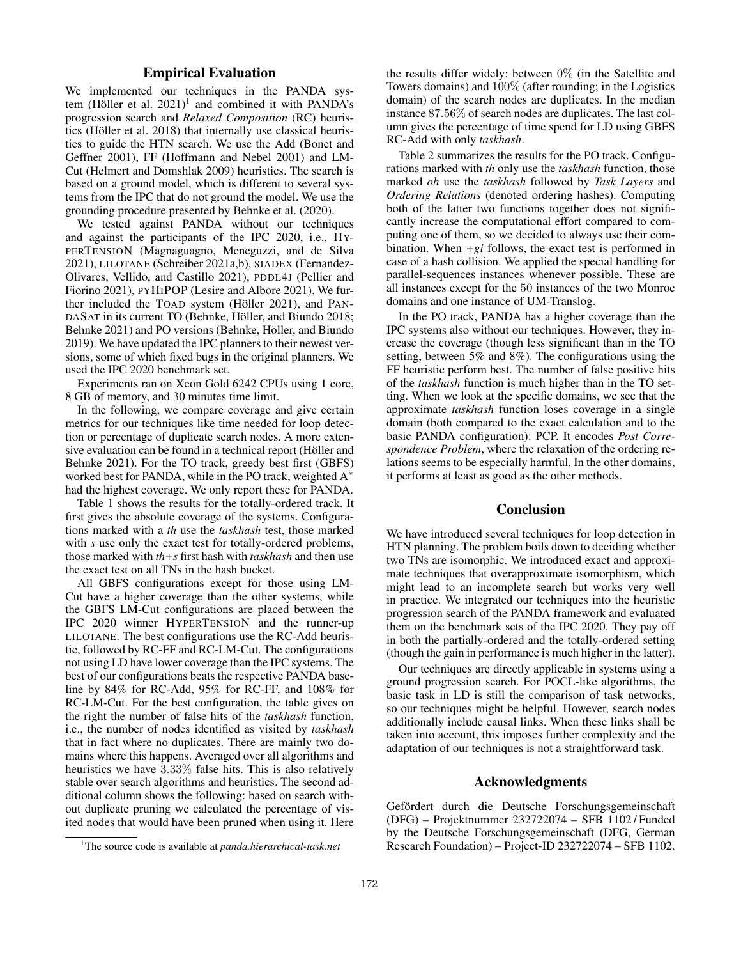## Empirical Evaluation

We implemented our techniques in the PANDA system (Höller et al.  $2021$ <sup>1</sup> and combined it with PANDA's progression search and *Relaxed Composition* (RC) heuristics (Höller et al. 2018) that internally use classical heuristics to guide the HTN search. We use the Add (Bonet and Geffner 2001), FF (Hoffmann and Nebel 2001) and LM-Cut (Helmert and Domshlak 2009) heuristics. The search is based on a ground model, which is different to several systems from the IPC that do not ground the model. We use the grounding procedure presented by Behnke et al. (2020).

We tested against PANDA without our techniques and against the participants of the IPC 2020, i.e., HY-PERTENSION (Magnaguagno, Meneguzzi, and de Silva 2021), LILOTANE (Schreiber 2021a,b), SIADEX (Fernandez-Olivares, Vellido, and Castillo 2021), PDDL4J (Pellier and Fiorino 2021), PYHIPOP (Lesire and Albore 2021). We further included the TOAD system (Höller 2021), and PAN-DASAT in its current TO (Behnke, Höller, and Biundo 2018; Behnke 2021) and PO versions (Behnke, Höller, and Biundo 2019). We have updated the IPC planners to their newest versions, some of which fixed bugs in the original planners. We used the IPC 2020 benchmark set.

Experiments ran on Xeon Gold 6242 CPUs using 1 core, 8 GB of memory, and 30 minutes time limit.

In the following, we compare coverage and give certain metrics for our techniques like time needed for loop detection or percentage of duplicate search nodes. A more extensive evaluation can be found in a technical report (Höller and Behnke 2021). For the TO track, greedy best first (GBFS) worked best for PANDA, while in the PO track, weighted A<sup>∗</sup> had the highest coverage. We only report these for PANDA.

Table 1 shows the results for the totally-ordered track. It first gives the absolute coverage of the systems. Configurations marked with a *th* use the *taskhash* test, those marked with *s* use only the exact test for totally-ordered problems, those marked with *th+s* first hash with *taskhash* and then use the exact test on all TNs in the hash bucket.

All GBFS configurations except for those using LM-Cut have a higher coverage than the other systems, while the GBFS LM-Cut configurations are placed between the IPC 2020 winner HYPERTENSION and the runner-up LILOTANE. The best configurations use the RC-Add heuristic, followed by RC-FF and RC-LM-Cut. The configurations not using LD have lower coverage than the IPC systems. The best of our configurations beats the respective PANDA baseline by 84% for RC-Add, 95% for RC-FF, and 108% for RC-LM-Cut. For the best configuration, the table gives on the right the number of false hits of the *taskhash* function, i.e., the number of nodes identified as visited by *taskhash* that in fact where no duplicates. There are mainly two domains where this happens. Averaged over all algorithms and heuristics we have 3.33% false hits. This is also relatively stable over search algorithms and heuristics. The second additional column shows the following: based on search without duplicate pruning we calculated the percentage of visited nodes that would have been pruned when using it. Here

the results differ widely: between  $0\%$  (in the Satellite and Towers domains) and 100% (after rounding; in the Logistics domain) of the search nodes are duplicates. In the median instance 87.56% of search nodes are duplicates. The last column gives the percentage of time spend for LD using GBFS RC-Add with only *taskhash*.

Table 2 summarizes the results for the PO track. Configurations marked with *th* only use the *taskhash* function, those marked *oh* use the *taskhash* followed by *Task Layers* and *Ordering Relations* (denoted ordering hashes). Computing both of the latter two functions together does not significantly increase the computational effort compared to computing one of them, so we decided to always use their combination. When  $+gi$  follows, the exact test is performed in case of a hash collision. We applied the special handling for parallel-sequences instances whenever possible. These are all instances except for the 50 instances of the two Monroe domains and one instance of UM-Translog.

In the PO track, PANDA has a higher coverage than the IPC systems also without our techniques. However, they increase the coverage (though less significant than in the TO setting, between 5% and 8%). The configurations using the FF heuristic perform best. The number of false positive hits of the *taskhash* function is much higher than in the TO setting. When we look at the specific domains, we see that the approximate *taskhash* function loses coverage in a single domain (both compared to the exact calculation and to the basic PANDA configuration): PCP. It encodes *Post Correspondence Problem*, where the relaxation of the ordering relations seems to be especially harmful. In the other domains, it performs at least as good as the other methods.

### Conclusion

We have introduced several techniques for loop detection in HTN planning. The problem boils down to deciding whether two TNs are isomorphic. We introduced exact and approximate techniques that overapproximate isomorphism, which might lead to an incomplete search but works very well in practice. We integrated our techniques into the heuristic progression search of the PANDA framework and evaluated them on the benchmark sets of the IPC 2020. They pay off in both the partially-ordered and the totally-ordered setting (though the gain in performance is much higher in the latter).

Our techniques are directly applicable in systems using a ground progression search. For POCL-like algorithms, the basic task in LD is still the comparison of task networks, so our techniques might be helpful. However, search nodes additionally include causal links. When these links shall be taken into account, this imposes further complexity and the adaptation of our techniques is not a straightforward task.

#### Acknowledgments

Gefördert durch die Deutsche Forschungsgemeinschaft (DFG) – Projektnummer 232722074 – SFB 1102 / Funded by the Deutsche Forschungsgemeinschaft (DFG, German Research Foundation) – Project-ID 232722074 – SFB 1102.

<sup>1</sup>The source code is available at *panda.hierarchical-task.net*